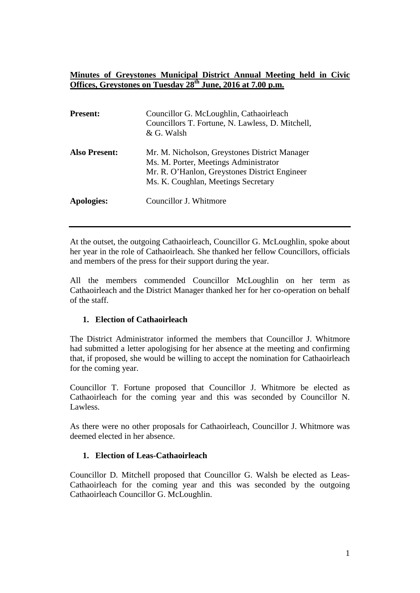## **Minutes of Greystones Municipal District Annual Meeting held in Civic Offices, Greystones on Tuesday 28th June, 2016 at 7.00 p.m.**

| <b>Present:</b>      | Councillor G. McLoughlin, Cathaoirleach<br>Councillors T. Fortune, N. Lawless, D. Mitchell,<br>& G. Walsh                                                                      |
|----------------------|--------------------------------------------------------------------------------------------------------------------------------------------------------------------------------|
| <b>Also Present:</b> | Mr. M. Nicholson, Greystones District Manager<br>Ms. M. Porter, Meetings Administrator<br>Mr. R. O'Hanlon, Greystones District Engineer<br>Ms. K. Coughlan, Meetings Secretary |
| Apologies:           | Councillor J. Whitmore                                                                                                                                                         |

At the outset, the outgoing Cathaoirleach, Councillor G. McLoughlin, spoke about her year in the role of Cathaoirleach. She thanked her fellow Councillors, officials and members of the press for their support during the year.

All the members commended Councillor McLoughlin on her term as Cathaoirleach and the District Manager thanked her for her co-operation on behalf of the staff.

## **1. Election of Cathaoirleach**

The District Administrator informed the members that Councillor J. Whitmore had submitted a letter apologising for her absence at the meeting and confirming that, if proposed, she would be willing to accept the nomination for Cathaoirleach for the coming year.

Councillor T. Fortune proposed that Councillor J. Whitmore be elected as Cathaoirleach for the coming year and this was seconded by Councillor N. Lawless.

As there were no other proposals for Cathaoirleach, Councillor J. Whitmore was deemed elected in her absence.

## **1. Election of Leas-Cathaoirleach**

Councillor D. Mitchell proposed that Councillor G. Walsh be elected as Leas-Cathaoirleach for the coming year and this was seconded by the outgoing Cathaoirleach Councillor G. McLoughlin.